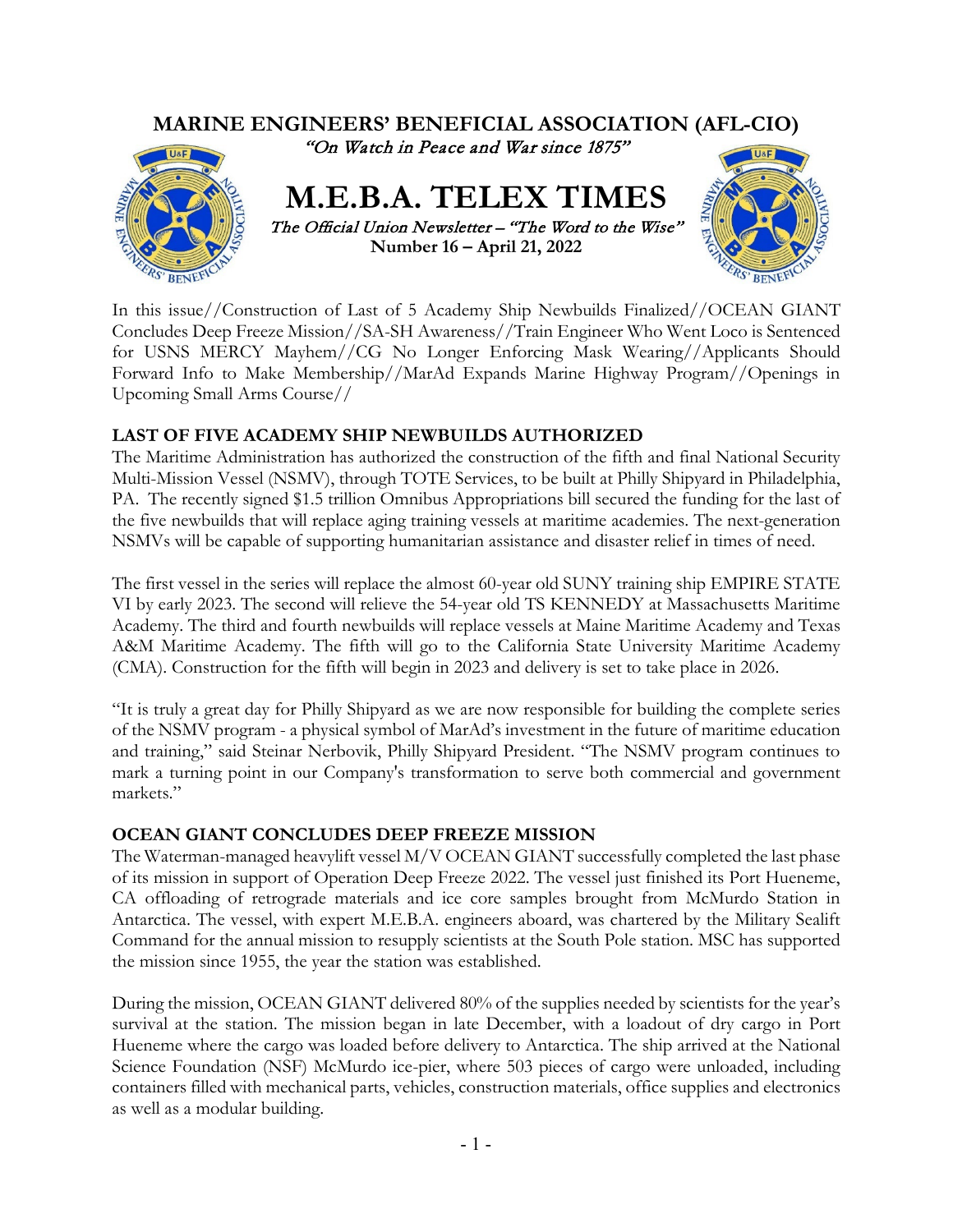

In this issue//Construction of Last of 5 Academy Ship Newbuilds Finalized//OCEAN GIANT Concludes Deep Freeze Mission//SA-SH Awareness//Train Engineer Who Went Loco is Sentenced for USNS MERCY Mayhem//CG No Longer Enforcing Mask Wearing//Applicants Should Forward Info to Make Membership//MarAd Expands Marine Highway Program//Openings in Upcoming Small Arms Course//

# **LAST OF FIVE ACADEMY SHIP NEWBUILDS AUTHORIZED**

The Maritime Administration has authorized the construction of the fifth and final National Security Multi-Mission Vessel (NSMV), through TOTE Services, to be built at Philly Shipyard in Philadelphia, PA. The recently signed \$1.5 trillion Omnibus Appropriations bill secured the funding for the last of the five newbuilds that will replace aging training vessels at maritime academies. The next-generation NSMVs will be capable of supporting humanitarian assistance and disaster relief in times of need.

The first vessel in the series will replace the almost 60-year old SUNY training ship EMPIRE STATE VI by early 2023. The second will relieve the 54-year old TS KENNEDY at Massachusetts Maritime Academy. The third and fourth newbuilds will replace vessels at Maine Maritime Academy and Texas A&M Maritime Academy. The fifth will go to the California State University Maritime Academy (CMA). Construction for the fifth will begin in 2023 and delivery is set to take place in 2026.

"It is truly a great day for Philly Shipyard as we are now responsible for building the complete series of the NSMV program - a physical symbol of MarAd's investment in the future of maritime education and training," said Steinar Nerbovik, Philly Shipyard President. "The NSMV program continues to mark a turning point in our Company's transformation to serve both commercial and government markets."

#### **OCEAN GIANT CONCLUDES DEEP FREEZE MISSION**

The Waterman-managed heavylift vessel M/V OCEAN GIANT successfully completed the last phase of its mission in support of Operation Deep Freeze 2022. The vessel just finished its Port Hueneme, CA offloading of retrograde materials and ice core samples brought from McMurdo Station in Antarctica. The vessel, with expert M.E.B.A. engineers aboard, was chartered by the Military Sealift Command for the annual mission to resupply scientists at the South Pole station. MSC has supported the mission since 1955, the year the station was established.

During the mission, OCEAN GIANT delivered 80% of the supplies needed by scientists for the year's survival at the station. The mission began in late December, with a loadout of dry cargo in Port Hueneme where the cargo was loaded before delivery to Antarctica. The ship arrived at the National Science Foundation (NSF) McMurdo ice-pier, where 503 pieces of cargo were unloaded, including containers filled with mechanical parts, vehicles, construction materials, office supplies and electronics as well as a modular building.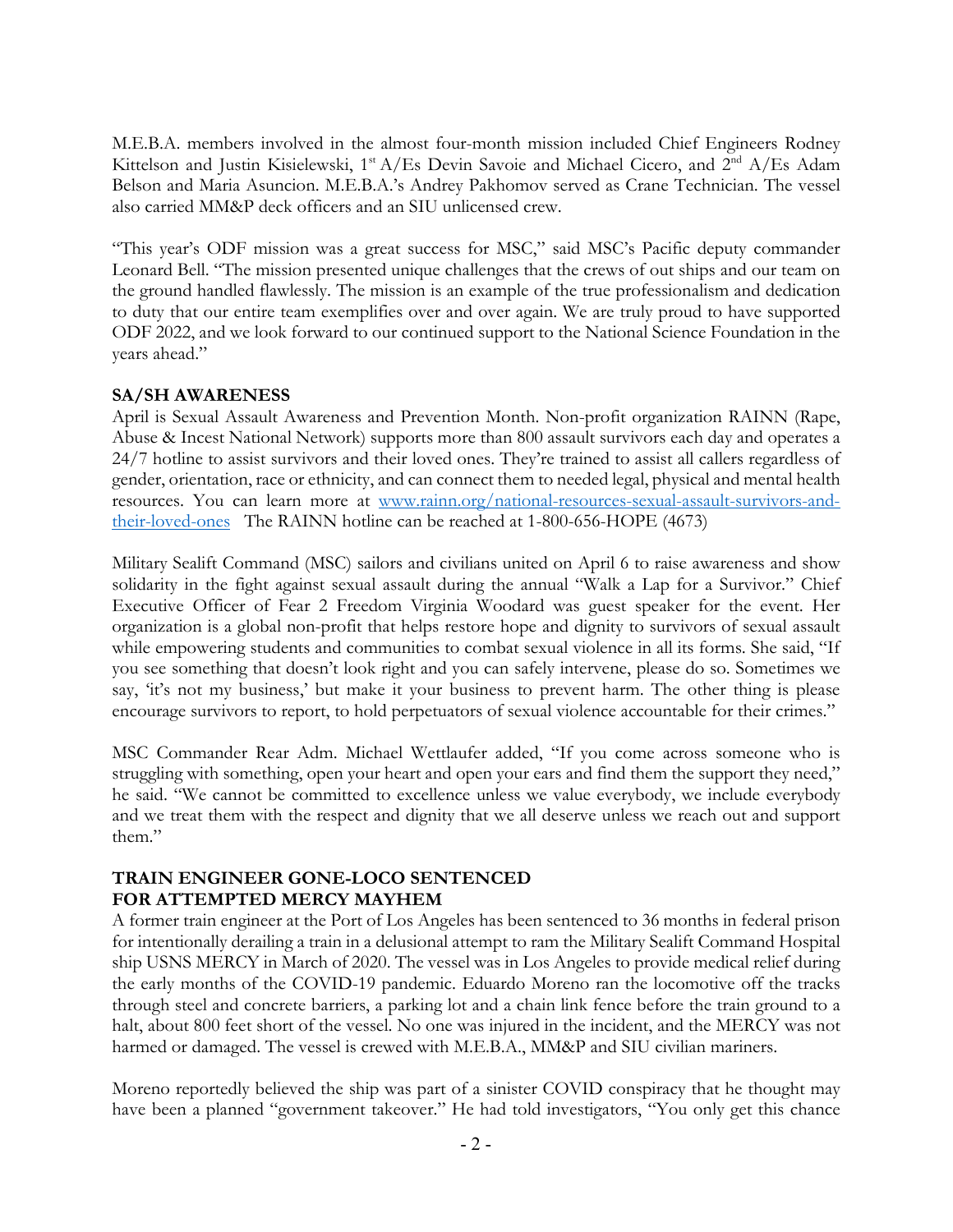M.E.B.A. members involved in the almost four-month mission included Chief Engineers Rodney Kittelson and Justin Kisielewski, 1<sup>st</sup> A/Es Devin Savoie and Michael Cicero, and 2<sup>nd</sup> A/Es Adam Belson and Maria Asuncion. M.E.B.A.'s Andrey Pakhomov served as Crane Technician. The vessel also carried MM&P deck officers and an SIU unlicensed crew.

"This year's ODF mission was a great success for MSC," said MSC's Pacific deputy commander Leonard Bell. "The mission presented unique challenges that the crews of out ships and our team on the ground handled flawlessly. The mission is an example of the true professionalism and dedication to duty that our entire team exemplifies over and over again. We are truly proud to have supported ODF 2022, and we look forward to our continued support to the National Science Foundation in the years ahead."

## **SA/SH AWARENESS**

April is Sexual Assault Awareness and Prevention Month. Non-profit organization RAINN (Rape, Abuse & Incest National Network) supports more than 800 assault survivors each day and operates a 24/7 hotline to assist survivors and their loved ones. They're trained to assist all callers regardless of gender, orientation, race or ethnicity, and can connect them to needed legal, physical and mental health resources. You can learn more at [www.rainn.org/national-resources-sexual-assault-survivors-and](http://www.rainn.org/national-resources-sexual-assault-survivors-and-their-loved-ones)[their-loved-ones](http://www.rainn.org/national-resources-sexual-assault-survivors-and-their-loved-ones) The RAINN hotline can be reached at 1-800-656-HOPE (4673)

Military Sealift Command (MSC) sailors and civilians united on April 6 to raise awareness and show solidarity in the fight against sexual assault during the annual "Walk a Lap for a Survivor." Chief Executive Officer of Fear 2 Freedom Virginia Woodard was guest speaker for the event. Her organization is a global non-profit that helps restore hope and dignity to survivors of sexual assault while empowering students and communities to combat sexual violence in all its forms. She said, "If you see something that doesn't look right and you can safely intervene, please do so. Sometimes we say, 'it's not my business,' but make it your business to prevent harm. The other thing is please encourage survivors to report, to hold perpetuators of sexual violence accountable for their crimes."

MSC Commander Rear Adm. Michael Wettlaufer added, "If you come across someone who is struggling with something, open your heart and open your ears and find them the support they need," he said. "We cannot be committed to excellence unless we value everybody, we include everybody and we treat them with the respect and dignity that we all deserve unless we reach out and support them."

#### **TRAIN ENGINEER GONE-LOCO SENTENCED FOR ATTEMPTED MERCY MAYHEM**

A former train engineer at the Port of Los Angeles has been sentenced to 36 months in federal prison for intentionally derailing a train in a delusional attempt to ram the Military Sealift Command Hospital ship USNS MERCY in March of 2020. The vessel was in Los Angeles to provide medical relief during the early months of the COVID-19 pandemic. Eduardo Moreno ran the locomotive off the tracks through steel and concrete barriers, a parking lot and a chain link fence before the train ground to a halt, about 800 feet short of the vessel. No one was injured in the incident, and the MERCY was not harmed or damaged. The vessel is crewed with M.E.B.A., MM&P and SIU civilian mariners.

Moreno reportedly believed the ship was part of a sinister COVID conspiracy that he thought may have been a planned "government takeover." He had told investigators, "You only get this chance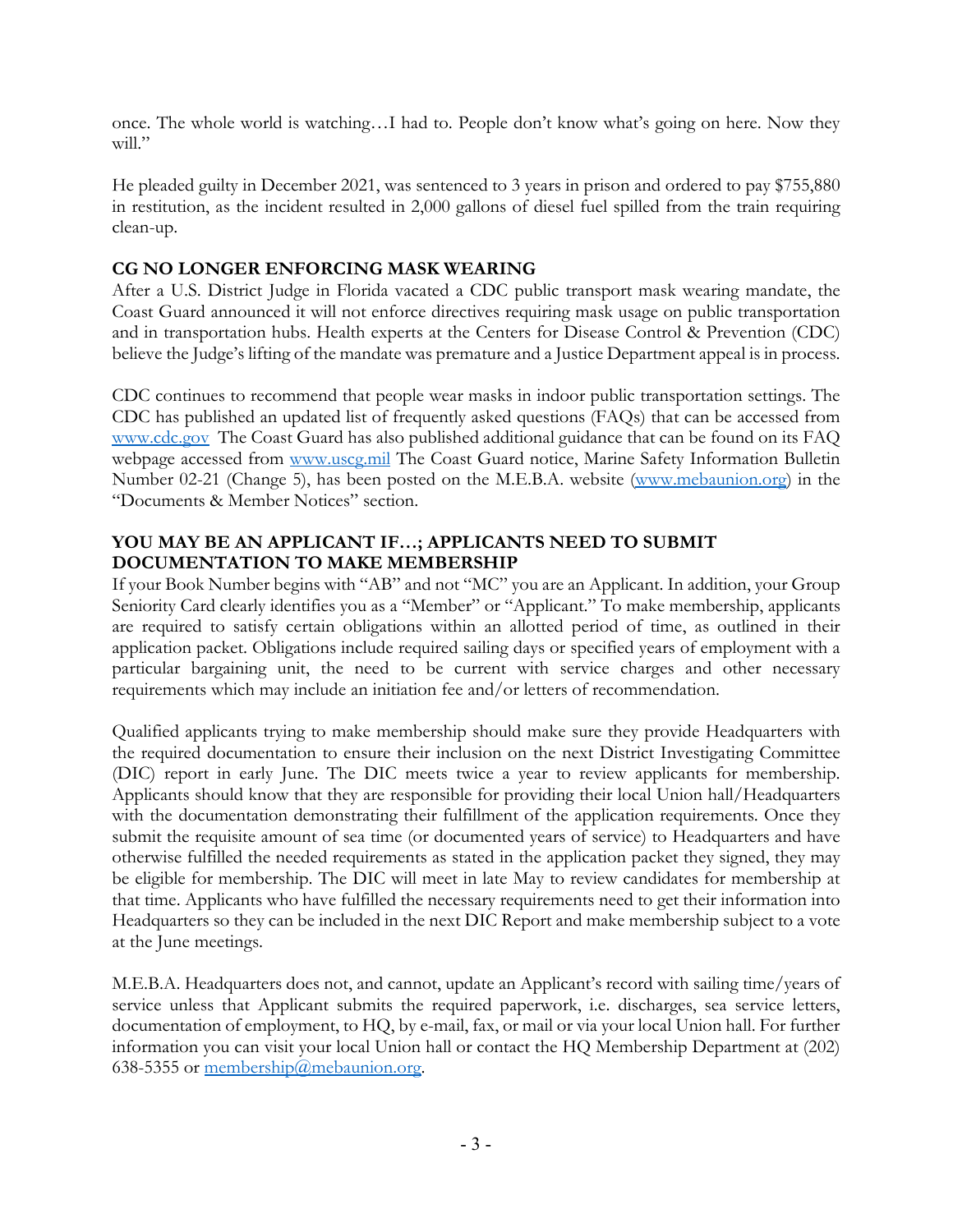once. The whole world is watching…I had to. People don't know what's going on here. Now they will."

He pleaded guilty in December 2021, was sentenced to 3 years in prison and ordered to pay \$755,880 in restitution, as the incident resulted in 2,000 gallons of diesel fuel spilled from the train requiring clean-up.

# **CG NO LONGER ENFORCING MASK WEARING**

After a U.S. District Judge in Florida vacated a CDC public transport mask wearing mandate, the Coast Guard announced it will not enforce directives requiring mask usage on public transportation and in transportation hubs. Health experts at the Centers for Disease Control & Prevention (CDC) believe the Judge's lifting of the mandate was premature and a Justice Department appeal is in process.

CDC continues to recommend that people wear masks in indoor public transportation settings. The CDC has published an updated list of frequently asked questions (FAQs) that can be accessed from [www.cdc.gov](http://www.cdc.gov/) The Coast Guard has also published additional guidance that can be found on its FAQ webpage accessed from [www.uscg.mil](http://www.uscg.mil/) The Coast Guard notice, Marine Safety Information Bulletin Number 02-21 (Change 5), has been posted on the M.E.B.A. website [\(www.mebaunion.org\)](http://www.mebaunion.org/) in the "Documents & Member Notices" section.

# **YOU MAY BE AN APPLICANT IF…; APPLICANTS NEED TO SUBMIT DOCUMENTATION TO MAKE MEMBERSHIP**

If your Book Number begins with "AB" and not "MC" you are an Applicant. In addition, your Group Seniority Card clearly identifies you as a "Member" or "Applicant." To make membership, applicants are required to satisfy certain obligations within an allotted period of time, as outlined in their application packet. Obligations include required sailing days or specified years of employment with a particular bargaining unit, the need to be current with service charges and other necessary requirements which may include an initiation fee and/or letters of recommendation.

Qualified applicants trying to make membership should make sure they provide Headquarters with the required documentation to ensure their inclusion on the next District Investigating Committee (DIC) report in early June. The DIC meets twice a year to review applicants for membership. Applicants should know that they are responsible for providing their local Union hall/Headquarters with the documentation demonstrating their fulfillment of the application requirements. Once they submit the requisite amount of sea time (or documented years of service) to Headquarters and have otherwise fulfilled the needed requirements as stated in the application packet they signed, they may be eligible for membership. The DIC will meet in late May to review candidates for membership at that time. Applicants who have fulfilled the necessary requirements need to get their information into Headquarters so they can be included in the next DIC Report and make membership subject to a vote at the June meetings.

M.E.B.A. Headquarters does not, and cannot, update an Applicant's record with sailing time/years of service unless that Applicant submits the required paperwork, i.e. discharges, sea service letters, documentation of employment, to HQ, by e-mail, fax, or mail or via your local Union hall. For further information you can visit your local Union hall or contact the HQ Membership Department at (202) 638-5355 or [membership@mebaunion.org.](mailto:membership@mebaunion.org)